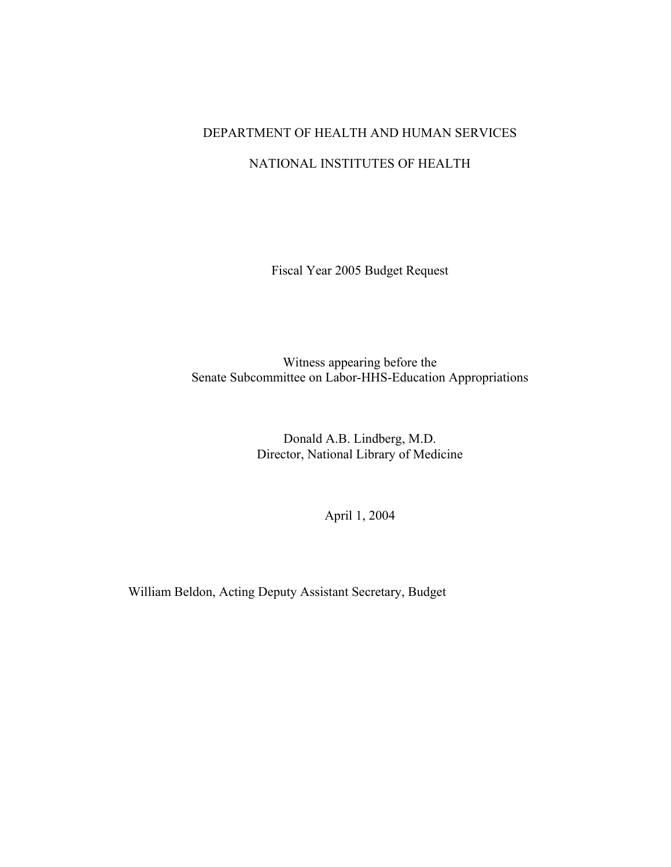## DEPARTMENT OF HEALTH AND HUMAN SERVICES

### NATIONAL INSTITUTES OF HEALTH

Fiscal Year 2005 Budget Request

Witness appearing before the Senate Subcommittee on Labor-HHS-Education Appropriations

> Donald A.B. Lindberg, M.D. Director, National Library of Medicine

> > April 1, 2004

William Beldon, Acting Deputy Assistant Secretary, Budget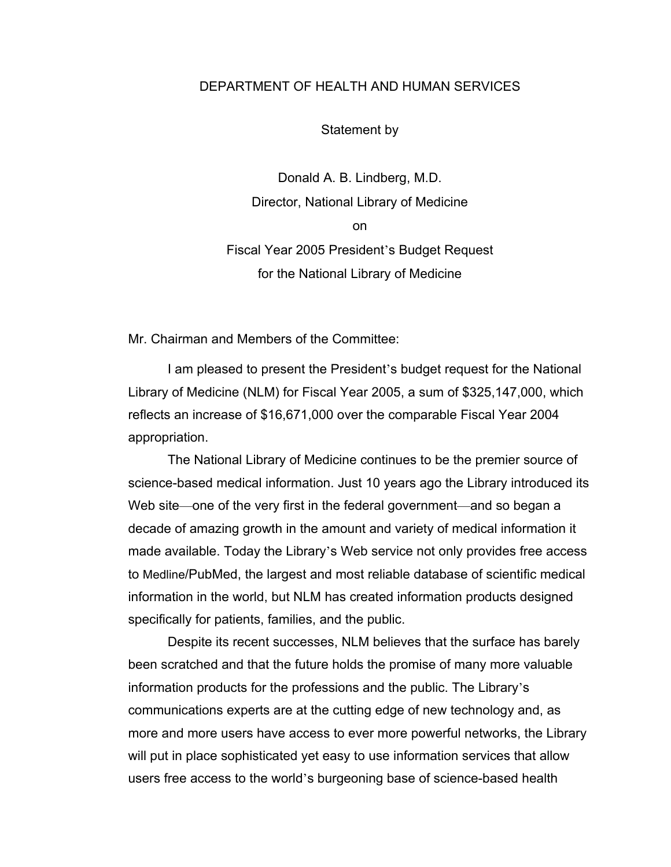#### DEPARTMENT OF HEALTH AND HUMAN SERVICES

Statement by

Donald A. B. Lindberg, M.D. Director, National Library of Medicine on Fiscal Year 2005 President's Budget Request for the National Library of Medicine

Mr. Chairman and Members of the Committee:

I am pleased to present the President's budget request for the National Library of Medicine (NLM) for Fiscal Year 2005, a sum of \$325,147,000, which reflects an increase of \$16,671,000 over the comparable Fiscal Year 2004 appropriation.

The National Library of Medicine continues to be the premier source of science-based medical information. Just 10 years ago the Library introduced its Web site—one of the very first in the federal government—and so began a decade of amazing growth in the amount and variety of medical information it made available. Today the Library's Web service not only provides free access to Medline/PubMed, the largest and most reliable database of scientific medical information in the world, but NLM has created information products designed specifically for patients, families, and the public.

Despite its recent successes, NLM believes that the surface has barely been scratched and that the future holds the promise of many more valuable information products for the professions and the public. The Library's communications experts are at the cutting edge of new technology and, as more and more users have access to ever more powerful networks, the Library will put in place sophisticated yet easy to use information services that allow users free access to the world's burgeoning base of science-based health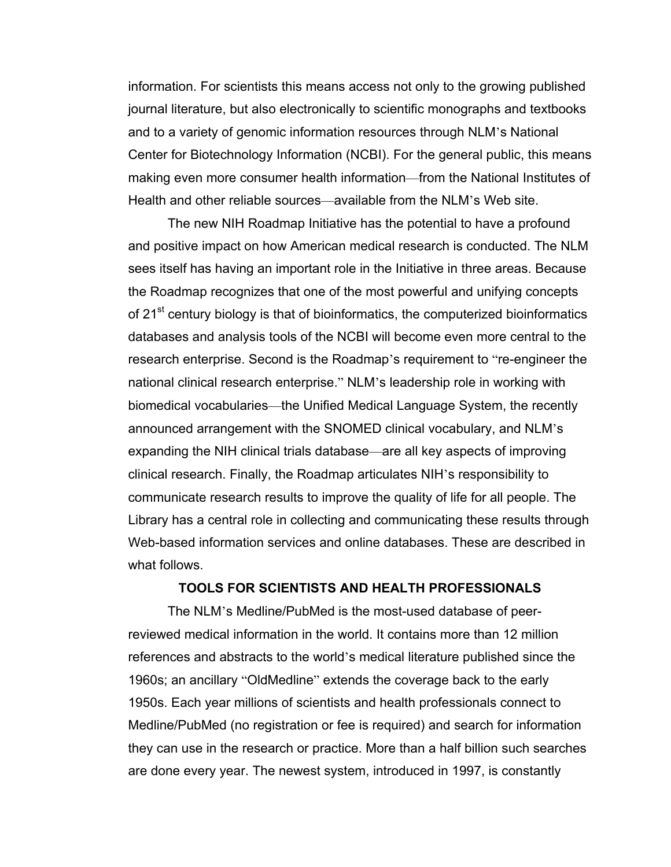information. For scientists this means access not only to the growing published journal literature, but also electronically to scientific monographs and textbooks and to a variety of genomic information resources through NLM's National Center for Biotechnology Information (NCBI). For the general public, this means making even more consumer health information—from the National Institutes of Health and other reliable sources—available from the NLM's Web site.

The new NIH Roadmap Initiative has the potential to have a profound and positive impact on how American medical research is conducted. The NLM sees itself has having an important role in the Initiative in three areas. Because the Roadmap recognizes that one of the most powerful and unifying concepts of 21<sup>st</sup> century biology is that of bioinformatics, the computerized bioinformatics databases and analysis tools of the NCBI will become even more central to the research enterprise. Second is the Roadmap's requirement to "re-engineer the national clinical research enterprise." NLM's leadership role in working with biomedical vocabularies—the Unified Medical Language System, the recently announced arrangement with the SNOMED clinical vocabulary, and NLM's expanding the NIH clinical trials database—are all key aspects of improving clinical research. Finally, the Roadmap articulates NIH's responsibility to communicate research results to improve the quality of life for all people. The Library has a central role in collecting and communicating these results through Web-based information services and online databases. These are described in what follows.

#### **TOOLS FOR SCIENTISTS AND HEALTH PROFESSIONALS**

The NLM's Medline/PubMed is the most-used database of peerreviewed medical information in the world. It contains more than 12 million references and abstracts to the world's medical literature published since the 1960s; an ancillary "OldMedline" extends the coverage back to the early 1950s. Each year millions of scientists and health professionals connect to Medline/PubMed (no registration or fee is required) and search for information they can use in the research or practice. More than a half billion such searches are done every year. The newest system, introduced in 1997, is constantly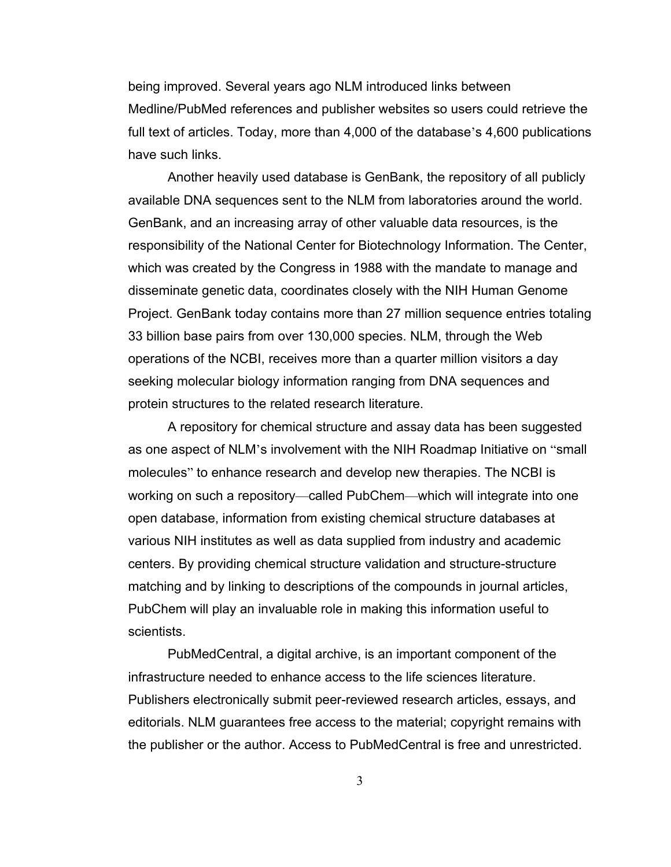being improved. Several years ago NLM introduced links between Medline/PubMed references and publisher websites so users could retrieve the full text of articles. Today, more than 4,000 of the database's 4,600 publications have such links.

Another heavily used database is GenBank, the repository of all publicly available DNA sequences sent to the NLM from laboratories around the world. GenBank, and an increasing array of other valuable data resources, is the responsibility of the National Center for Biotechnology Information. The Center, which was created by the Congress in 1988 with the mandate to manage and disseminate genetic data, coordinates closely with the NIH Human Genome Project. GenBank today contains more than 27 million sequence entries totaling 33 billion base pairs from over 130,000 species. NLM, through the Web operations of the NCBI, receives more than a quarter million visitors a day seeking molecular biology information ranging from DNA sequences and protein structures to the related research literature.

A repository for chemical structure and assay data has been suggested as one aspect of NLM's involvement with the NIH Roadmap Initiative on "small molecules" to enhance research and develop new therapies. The NCBI is working on such a repository—called PubChem—which will integrate into one open database, information from existing chemical structure databases at various NIH institutes as well as data supplied from industry and academic centers. By providing chemical structure validation and structure-structure matching and by linking to descriptions of the compounds in journal articles, PubChem will play an invaluable role in making this information useful to scientists.

PubMedCentral, a digital archive, is an important component of the infrastructure needed to enhance access to the life sciences literature. Publishers electronically submit peer-reviewed research articles, essays, and editorials. NLM guarantees free access to the material; copyright remains with the publisher or the author. Access to PubMedCentral is free and unrestricted.

3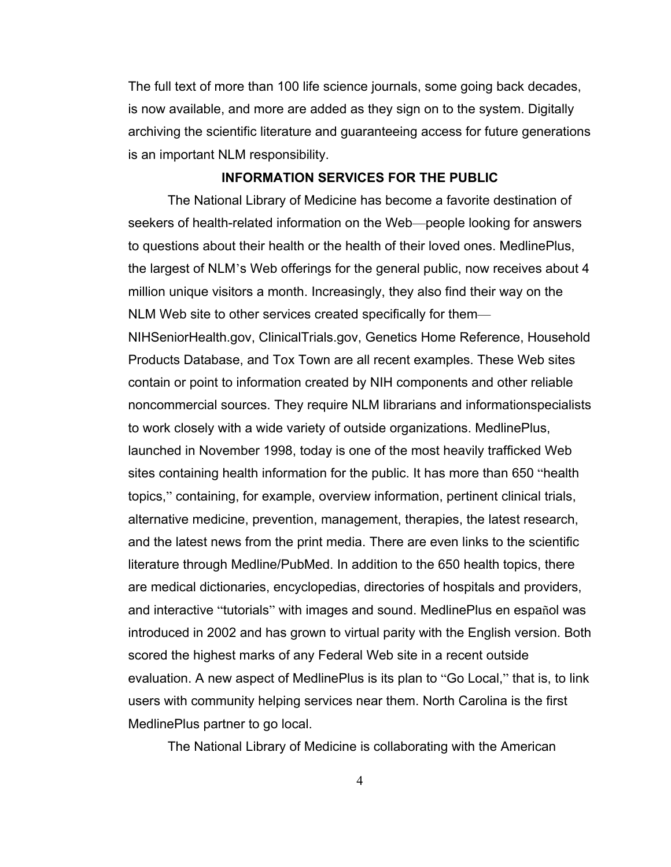The full text of more than 100 life science journals, some going back decades, is now available, and more are added as they sign on to the system. Digitally archiving the scientific literature and guaranteeing access for future generations is an important NLM responsibility.

#### **INFORMATION SERVICES FOR THE PUBLIC**

The National Library of Medicine has become a favorite destination of seekers of health-related information on the Web—people looking for answers to questions about their health or the health of their loved ones. MedlinePlus, the largest of NLM's Web offerings for the general public, now receives about 4 million unique visitors a month. Increasingly, they also find their way on the NLM Web site to other services created specifically for them—

NIHSeniorHealth.gov, ClinicalTrials.gov, Genetics Home Reference, Household Products Database, and Tox Town are all recent examples. These Web sites contain or point to information created by NIH components and other reliable noncommercial sources. They require NLM librarians and informationspecialists to work closely with a wide variety of outside organizations. MedlinePlus, launched in November 1998, today is one of the most heavily trafficked Web sites containing health information for the public. It has more than 650 "health topics," containing, for example, overview information, pertinent clinical trials, alternative medicine, prevention, management, therapies, the latest research, and the latest news from the print media. There are even links to the scientific literature through Medline/PubMed. In addition to the 650 health topics, there are medical dictionaries, encyclopedias, directories of hospitals and providers, and interactive "tutorials" with images and sound. MedlinePlus en español was introduced in 2002 and has grown to virtual parity with the English version. Both scored the highest marks of any Federal Web site in a recent outside evaluation. A new aspect of MedlinePlus is its plan to "Go Local," that is, to link users with community helping services near them. North Carolina is the first MedlinePlus partner to go local.

The National Library of Medicine is collaborating with the American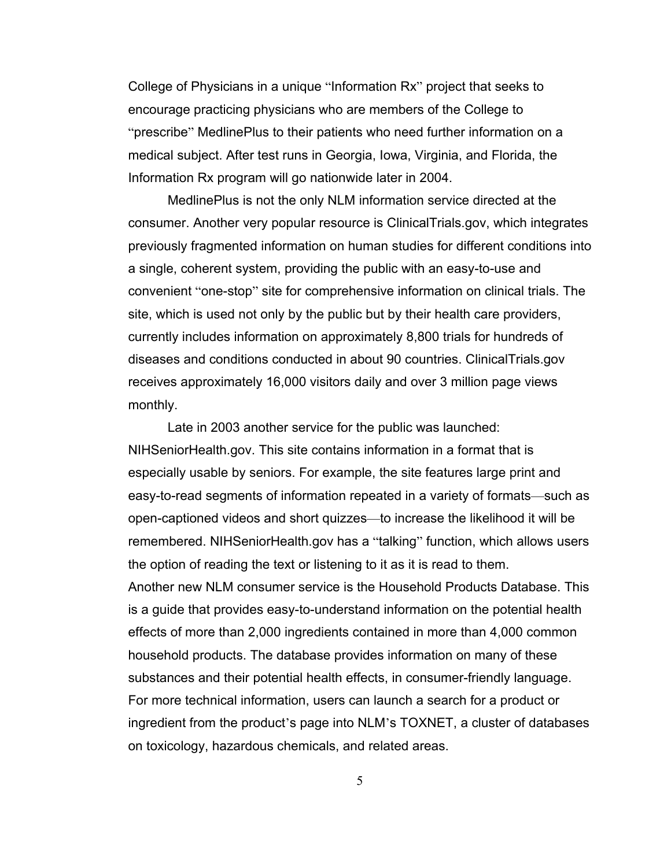College of Physicians in a unique "Information Rx" project that seeks to encourage practicing physicians who are members of the College to "prescribe" MedlinePlus to their patients who need further information on a medical subject. After test runs in Georgia, Iowa, Virginia, and Florida, the Information Rx program will go nationwide later in 2004.

MedlinePlus is not the only NLM information service directed at the consumer. Another very popular resource is ClinicalTrials.gov, which integrates previously fragmented information on human studies for different conditions into a single, coherent system, providing the public with an easy-to-use and convenient "one-stop" site for comprehensive information on clinical trials. The site, which is used not only by the public but by their health care providers, currently includes information on approximately 8,800 trials for hundreds of diseases and conditions conducted in about 90 countries. ClinicalTrials.gov receives approximately 16,000 visitors daily and over 3 million page views monthly.

Late in 2003 another service for the public was launched: NIHSeniorHealth.gov. This site contains information in a format that is especially usable by seniors. For example, the site features large print and easy-to-read segments of information repeated in a variety of formats—such as open-captioned videos and short quizzes—to increase the likelihood it will be remembered. NIHSeniorHealth.gov has a "talking" function, which allows users the option of reading the text or listening to it as it is read to them. Another new NLM consumer service is the Household Products Database. This is a guide that provides easy-to-understand information on the potential health effects of more than 2,000 ingredients contained in more than 4,000 common household products. The database provides information on many of these substances and their potential health effects, in consumer-friendly language. For more technical information, users can launch a search for a product or ingredient from the product's page into NLM's TOXNET, a cluster of databases on toxicology, hazardous chemicals, and related areas.

5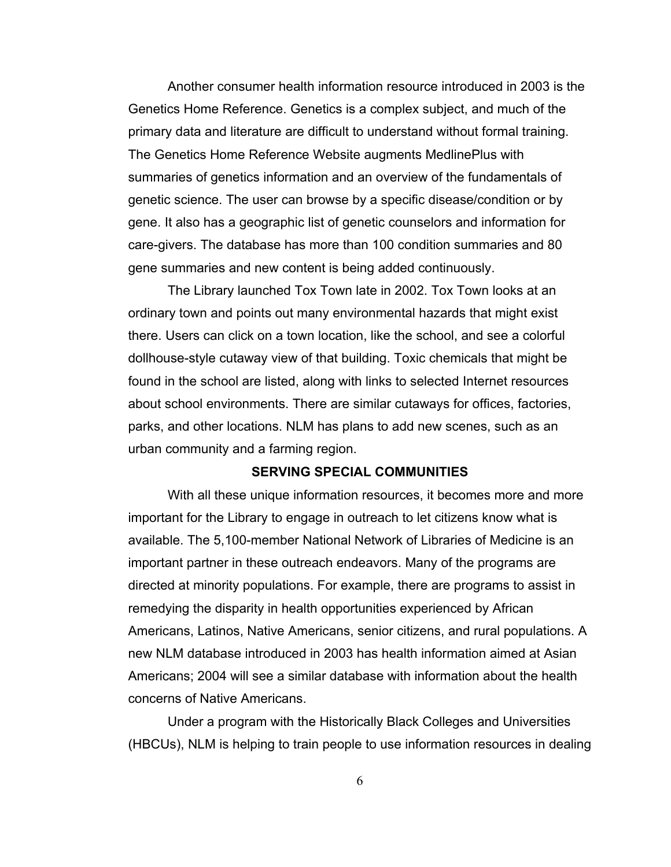Another consumer health information resource introduced in 2003 is the Genetics Home Reference. Genetics is a complex subject, and much of the primary data and literature are difficult to understand without formal training. The Genetics Home Reference Website augments MedlinePlus with summaries of genetics information and an overview of the fundamentals of genetic science. The user can browse by a specific disease/condition or by gene. It also has a geographic list of genetic counselors and information for care-givers. The database has more than 100 condition summaries and 80 gene summaries and new content is being added continuously.

The Library launched Tox Town late in 2002. Tox Town looks at an ordinary town and points out many environmental hazards that might exist there. Users can click on a town location, like the school, and see a colorful dollhouse-style cutaway view of that building. Toxic chemicals that might be found in the school are listed, along with links to selected Internet resources about school environments. There are similar cutaways for offices, factories, parks, and other locations. NLM has plans to add new scenes, such as an urban community and a farming region.

#### **SERVING SPECIAL COMMUNITIES**

With all these unique information resources, it becomes more and more important for the Library to engage in outreach to let citizens know what is available. The 5,100-member National Network of Libraries of Medicine is an important partner in these outreach endeavors. Many of the programs are directed at minority populations. For example, there are programs to assist in remedying the disparity in health opportunities experienced by African Americans, Latinos, Native Americans, senior citizens, and rural populations. A new NLM database introduced in 2003 has health information aimed at Asian Americans; 2004 will see a similar database with information about the health concerns of Native Americans.

Under a program with the Historically Black Colleges and Universities (HBCUs), NLM is helping to train people to use information resources in dealing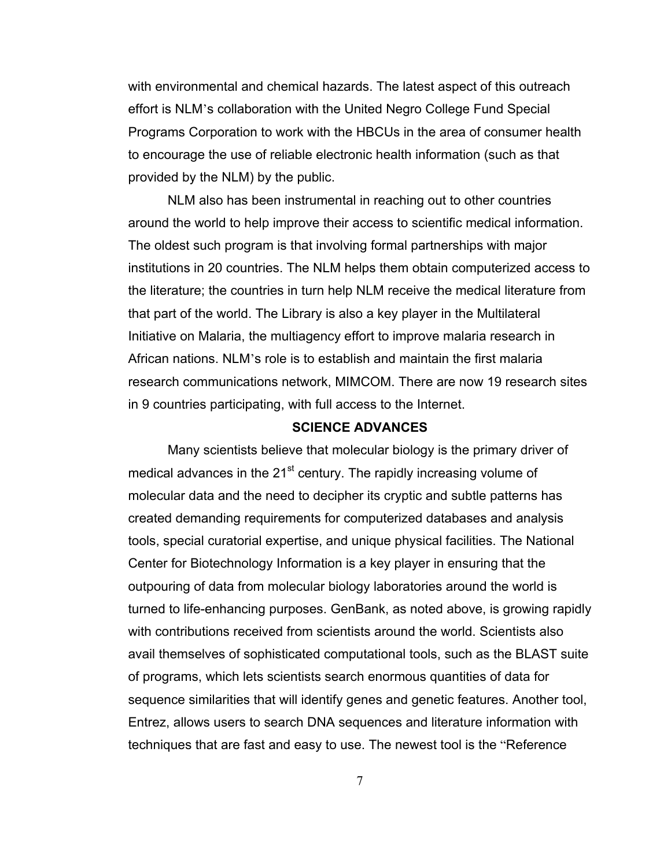with environmental and chemical hazards. The latest aspect of this outreach effort is NLM's collaboration with the United Negro College Fund Special Programs Corporation to work with the HBCUs in the area of consumer health to encourage the use of reliable electronic health information (such as that provided by the NLM) by the public.

NLM also has been instrumental in reaching out to other countries around the world to help improve their access to scientific medical information. The oldest such program is that involving formal partnerships with major institutions in 20 countries. The NLM helps them obtain computerized access to the literature; the countries in turn help NLM receive the medical literature from that part of the world. The Library is also a key player in the Multilateral Initiative on Malaria, the multiagency effort to improve malaria research in African nations. NLM's role is to establish and maintain the first malaria research communications network, MIMCOM. There are now 19 research sites in 9 countries participating, with full access to the Internet.

#### **SCIENCE ADVANCES**

Many scientists believe that molecular biology is the primary driver of medical advances in the  $21<sup>st</sup>$  century. The rapidly increasing volume of molecular data and the need to decipher its cryptic and subtle patterns has created demanding requirements for computerized databases and analysis tools, special curatorial expertise, and unique physical facilities. The National Center for Biotechnology Information is a key player in ensuring that the outpouring of data from molecular biology laboratories around the world is turned to life-enhancing purposes. GenBank, as noted above, is growing rapidly with contributions received from scientists around the world. Scientists also avail themselves of sophisticated computational tools, such as the BLAST suite of programs, which lets scientists search enormous quantities of data for sequence similarities that will identify genes and genetic features. Another tool, Entrez, allows users to search DNA sequences and literature information with techniques that are fast and easy to use. The newest tool is the "Reference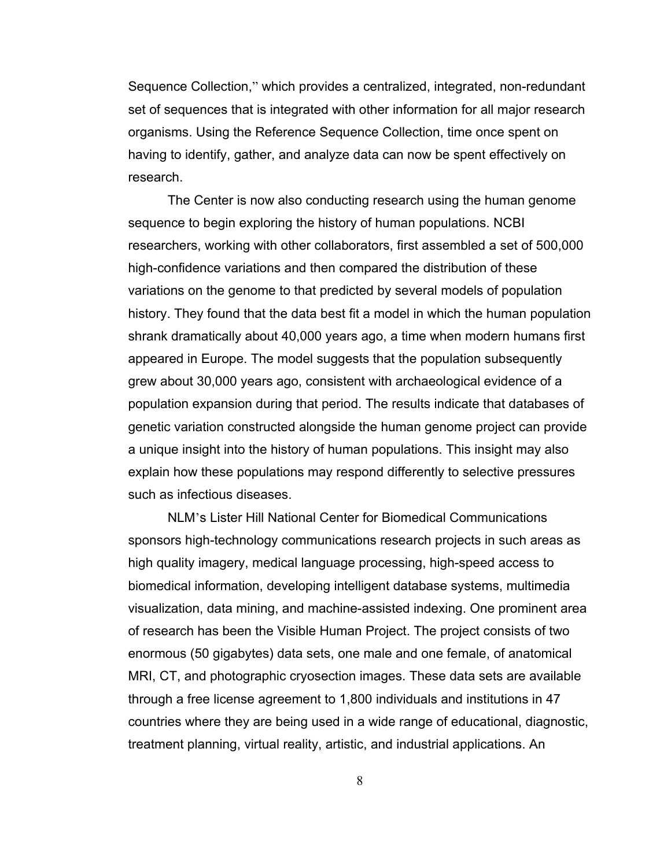Sequence Collection," which provides a centralized, integrated, non-redundant set of sequences that is integrated with other information for all major research organisms. Using the Reference Sequence Collection, time once spent on having to identify, gather, and analyze data can now be spent effectively on research.

The Center is now also conducting research using the human genome sequence to begin exploring the history of human populations. NCBI researchers, working with other collaborators, first assembled a set of 500,000 high-confidence variations and then compared the distribution of these variations on the genome to that predicted by several models of population history. They found that the data best fit a model in which the human population shrank dramatically about 40,000 years ago, a time when modern humans first appeared in Europe. The model suggests that the population subsequently grew about 30,000 years ago, consistent with archaeological evidence of a population expansion during that period. The results indicate that databases of genetic variation constructed alongside the human genome project can provide a unique insight into the history of human populations. This insight may also explain how these populations may respond differently to selective pressures such as infectious diseases.

NLM's Lister Hill National Center for Biomedical Communications sponsors high-technology communications research projects in such areas as high quality imagery, medical language processing, high-speed access to biomedical information, developing intelligent database systems, multimedia visualization, data mining, and machine-assisted indexing. One prominent area of research has been the Visible Human Project. The project consists of two enormous (50 gigabytes) data sets, one male and one female, of anatomical MRI, CT, and photographic cryosection images. These data sets are available through a free license agreement to 1,800 individuals and institutions in 47 countries where they are being used in a wide range of educational, diagnostic, treatment planning, virtual reality, artistic, and industrial applications. An

8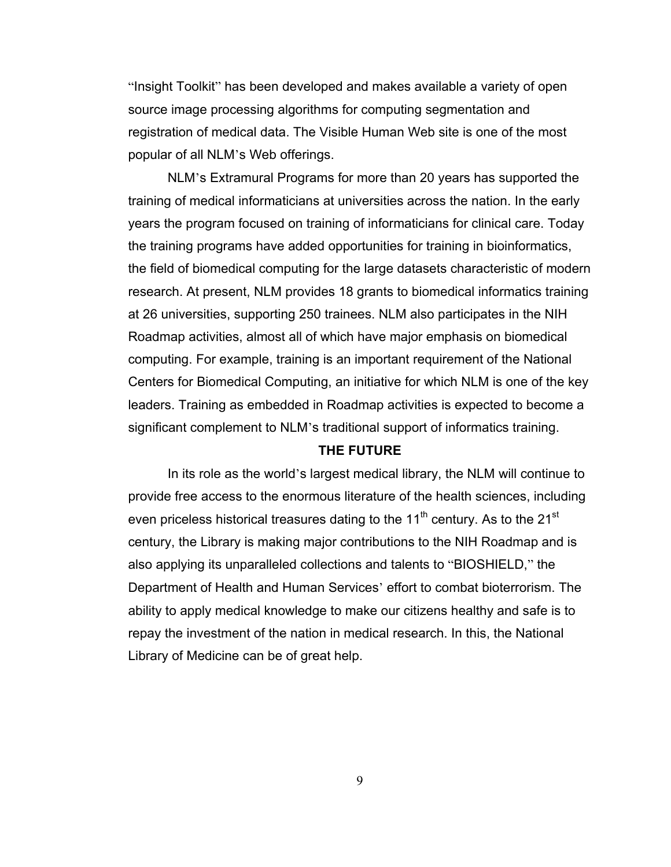"Insight Toolkit" has been developed and makes available a variety of open source image processing algorithms for computing segmentation and registration of medical data. The Visible Human Web site is one of the most popular of all NLM's Web offerings.

NLM's Extramural Programs for more than 20 years has supported the training of medical informaticians at universities across the nation. In the early years the program focused on training of informaticians for clinical care. Today the training programs have added opportunities for training in bioinformatics, the field of biomedical computing for the large datasets characteristic of modern research. At present, NLM provides 18 grants to biomedical informatics training at 26 universities, supporting 250 trainees. NLM also participates in the NIH Roadmap activities, almost all of which have major emphasis on biomedical computing. For example, training is an important requirement of the National Centers for Biomedical Computing, an initiative for which NLM is one of the key leaders. Training as embedded in Roadmap activities is expected to become a significant complement to NLM's traditional support of informatics training.

#### **THE FUTURE**

In its role as the world's largest medical library, the NLM will continue to provide free access to the enormous literature of the health sciences, including even priceless historical treasures dating to the  $11<sup>th</sup>$  century. As to the  $21<sup>st</sup>$ century, the Library is making major contributions to the NIH Roadmap and is also applying its unparalleled collections and talents to "BIOSHIELD," the Department of Health and Human Services' effort to combat bioterrorism. The ability to apply medical knowledge to make our citizens healthy and safe is to repay the investment of the nation in medical research. In this, the National Library of Medicine can be of great help.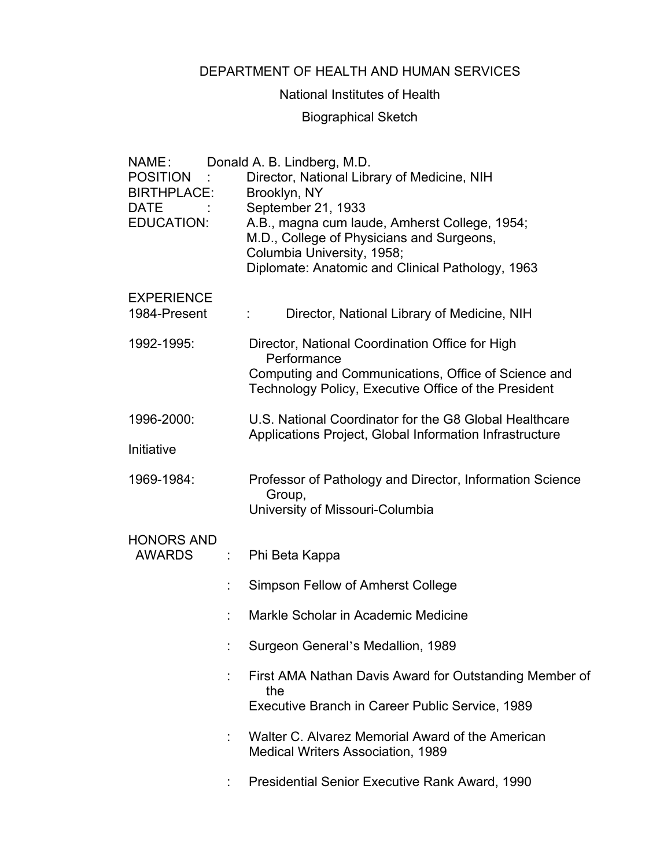## DEPARTMENT OF HEALTH AND HUMAN SERVICES

## National Institutes of Health

# Biographical Sketch

| NAME:<br><b>POSITION</b><br>BIRTHPLACE:<br><b>DATE</b><br><b>EDUCATION:</b> |   | Donald A. B. Lindberg, M.D.<br>Director, National Library of Medicine, NIH<br>Brooklyn, NY<br>September 21, 1933<br>A.B., magna cum laude, Amherst College, 1954;<br>M.D., College of Physicians and Surgeons,<br>Columbia University, 1958;<br>Diplomate: Anatomic and Clinical Pathology, 1963 |
|-----------------------------------------------------------------------------|---|--------------------------------------------------------------------------------------------------------------------------------------------------------------------------------------------------------------------------------------------------------------------------------------------------|
| <b>EXPERIENCE</b><br>1984-Present                                           |   | Director, National Library of Medicine, NIH                                                                                                                                                                                                                                                      |
| 1992-1995:                                                                  |   | Director, National Coordination Office for High<br>Performance<br>Computing and Communications, Office of Science and<br>Technology Policy, Executive Office of the President                                                                                                                    |
| 1996-2000:                                                                  |   | U.S. National Coordinator for the G8 Global Healthcare<br>Applications Project, Global Information Infrastructure                                                                                                                                                                                |
| Initiative                                                                  |   |                                                                                                                                                                                                                                                                                                  |
| 1969-1984:                                                                  |   | Professor of Pathology and Director, Information Science<br>Group,<br>University of Missouri-Columbia                                                                                                                                                                                            |
| <b>HONORS AND</b><br><b>AWARDS</b>                                          | ÷ | Phi Beta Kappa                                                                                                                                                                                                                                                                                   |
|                                                                             |   | Simpson Fellow of Amherst College                                                                                                                                                                                                                                                                |
|                                                                             |   | Markle Scholar in Academic Medicine                                                                                                                                                                                                                                                              |
|                                                                             |   | Surgeon General's Medallion, 1989                                                                                                                                                                                                                                                                |
|                                                                             |   | First AMA Nathan Davis Award for Outstanding Member of<br>the<br>Executive Branch in Career Public Service, 1989                                                                                                                                                                                 |
|                                                                             |   | Walter C. Alvarez Memorial Award of the American<br><b>Medical Writers Association, 1989</b>                                                                                                                                                                                                     |
|                                                                             |   | <b>Presidential Senior Executive Rank Award, 1990</b>                                                                                                                                                                                                                                            |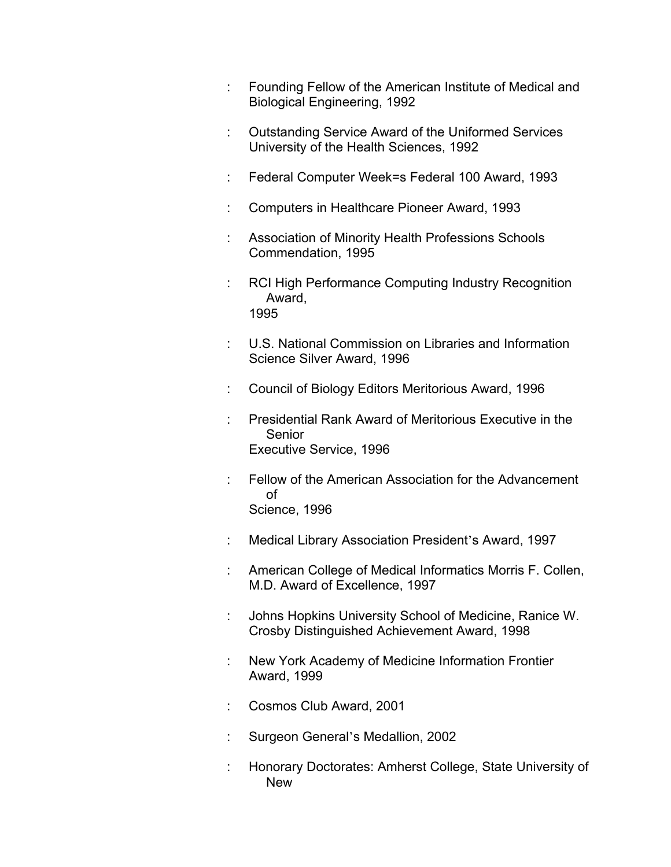- : Founding Fellow of the American Institute of Medical and Biological Engineering, 1992
- : Outstanding Service Award of the Uniformed Services University of the Health Sciences, 1992
- : Federal Computer Week=s Federal 100 Award, 1993
- : Computers in Healthcare Pioneer Award, 1993
- : Association of Minority Health Professions Schools Commendation, 1995
- RCI High Performance Computing Industry Recognition Award, 1995
- : U.S. National Commission on Libraries and Information Science Silver Award, 1996
- : Council of Biology Editors Meritorious Award, 1996
- : Presidential Rank Award of Meritorious Executive in the Senior Executive Service, 1996
- : Fellow of the American Association for the Advancement of Science, 1996
- : Medical Library Association President's Award, 1997
- : American College of Medical Informatics Morris F. Collen, M.D. Award of Excellence, 1997
- : Johns Hopkins University School of Medicine, Ranice W. Crosby Distinguished Achievement Award, 1998
- : New York Academy of Medicine Information Frontier Award, 1999
- : Cosmos Club Award, 2001
- : Surgeon General's Medallion, 2002
- : Honorary Doctorates: Amherst College, State University of New